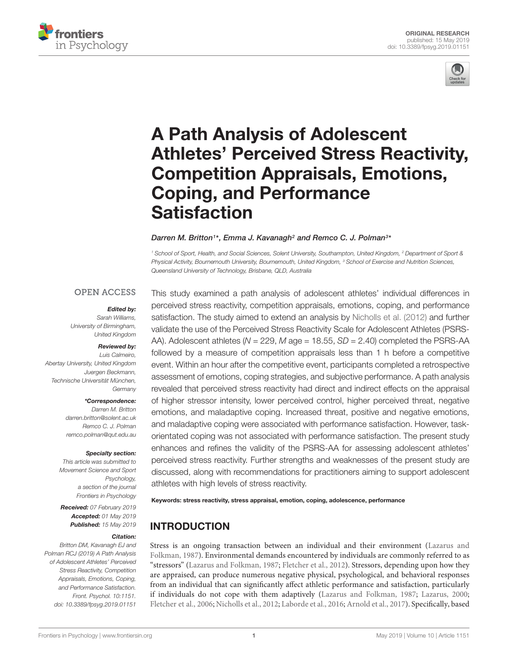



# A Path Analysis of Adolescent [Athletes' Perceived Stress Reactivity,](https://www.frontiersin.org/articles/10.3389/fpsyg.2019.01151/full) Competition Appraisals, Emotions, Coping, and Performance **Satisfaction**

#### [Darren M. Britton](http://loop.frontiersin.org/people/535556/overview)<sup>1\*</sup>, [Emma J. Kavanagh](http://loop.frontiersin.org/people/631083/overview)<sup>2</sup> and [Remco C. J. Polman](http://loop.frontiersin.org/people/23165/overview)<sup>3\*</sup>

<sup>1</sup> School of Sport, Health, and Social Sciences, Solent University, Southampton, United Kingdom, <sup>2</sup> Department of Sport & Physical Activity, Bournemouth University, Bournemouth, United Kingdom, <sup>3</sup> School of Exercise and Nutrition Sciences, Queensland University of Technology, Brisbane, QLD, Australia

#### **OPEN ACCESS**

#### Edited by:

Sarah Williams, University of Birmingham, United Kingdom

#### Reviewed by:

Luis Calmeiro, Abertay University, United Kingdom Juergen Beckmann, Technische Universität München, **Germany** 

#### \*Correspondence:

Darren M. Britton darren.britton@solent.ac.uk Remco C. J. Polman remco.polman@qut.edu.au

#### Specialty section:

This article was submitted to Movement Science and Sport Psychology, a section of the journal Frontiers in Psychology

Received: 07 February 2019 Accepted: 01 May 2019 Published: 15 May 2019

#### Citation:

Britton DM, Kavanagh EJ and Polman RCJ (2019) A Path Analysis of Adolescent Athletes' Perceived Stress Reactivity, Competition Appraisals, Emotions, Coping, and Performance Satisfaction. Front. Psychol. 10:1151. doi: [10.3389/fpsyg.2019.01151](https://doi.org/10.3389/fpsyg.2019.01151)

This study examined a path analysis of adolescent athletes' individual differences in perceived stress reactivity, competition appraisals, emotions, coping, and performance satisfaction. The study aimed to extend an analysis by [Nicholls et al.](#page-12-0) [\(2012\)](#page-12-0) and further validate the use of the Perceived Stress Reactivity Scale for Adolescent Athletes (PSRS-AA). Adolescent athletes ( $N = 229$ , M age = 18.55,  $SD = 2.40$ ) completed the PSRS-AA followed by a measure of competition appraisals less than 1 h before a competitive event. Within an hour after the competitive event, participants completed a retrospective assessment of emotions, coping strategies, and subjective performance. A path analysis revealed that perceived stress reactivity had direct and indirect effects on the appraisal of higher stressor intensity, lower perceived control, higher perceived threat, negative emotions, and maladaptive coping. Increased threat, positive and negative emotions, and maladaptive coping were associated with performance satisfaction. However, taskorientated coping was not associated with performance satisfaction. The present study enhances and refines the validity of the PSRS-AA for assessing adolescent athletes' perceived stress reactivity. Further strengths and weaknesses of the present study are discussed, along with recommendations for practitioners aiming to support adolescent athletes with high levels of stress reactivity.

Keywords: stress reactivity, stress appraisal, emotion, coping, adolescence, performance

# INTRODUCTION

Stress is an ongoing transaction between an individual and their environment [\(Lazarus and](#page-12-1) [Folkman,](#page-12-1) [1987\)](#page-12-1). Environmental demands encountered by individuals are commonly referred to as "stressors" [\(Lazarus and Folkman,](#page-12-1) [1987;](#page-12-1) [Fletcher et al.,](#page-11-0) [2012\)](#page-11-0). Stressors, depending upon how they are appraised, can produce numerous negative physical, psychological, and behavioral responses from an individual that can significantly affect athletic performance and satisfaction, particularly if individuals do not cope with them adaptively [\(Lazarus and Folkman,](#page-12-1) [1987;](#page-12-1) [Lazarus,](#page-12-2) [2000;](#page-12-2) [Fletcher et al.,](#page-11-1) [2006;](#page-11-1) [Nicholls et al.,](#page-12-0) [2012;](#page-12-0) [Laborde et al.,](#page-12-3) [2016;](#page-12-3) [Arnold et al.,](#page-11-2) [2017\)](#page-11-2). Specifically, based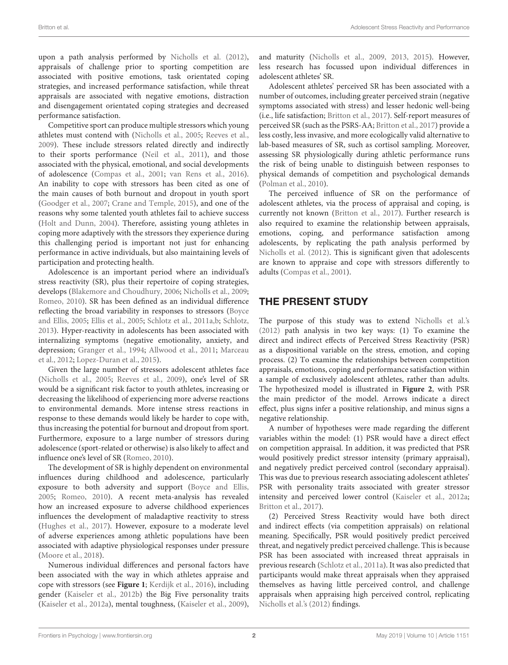upon a path analysis performed by [Nicholls et al.](#page-12-0) [\(2012\)](#page-12-0), appraisals of challenge prior to sporting competition are associated with positive emotions, task orientated coping strategies, and increased performance satisfaction, while threat appraisals are associated with negative emotions, distraction and disengagement orientated coping strategies and decreased performance satisfaction.

Competitive sport can produce multiple stressors which young athletes must contend with [\(Nicholls et al.,](#page-12-4) [2005;](#page-12-4) [Reeves et al.,](#page-12-5) [2009\)](#page-12-5). These include stressors related directly and indirectly to their sports performance [\(Neil et al.,](#page-12-6) [2011\)](#page-12-6), and those associated with the physical, emotional, and social developments of adolescence [\(Compas et al.,](#page-11-3) [2001;](#page-11-3) [van Rens et al.,](#page-12-7) [2016\)](#page-12-7). An inability to cope with stressors has been cited as one of the main causes of both burnout and dropout in youth sport [\(Goodger et al.,](#page-11-4) [2007;](#page-11-4) [Crane and Temple,](#page-11-5) [2015\)](#page-11-5), and one of the reasons why some talented youth athletes fail to achieve success [\(Holt and Dunn,](#page-11-6) [2004\)](#page-11-6). Therefore, assisting young athletes in coping more adaptively with the stressors they experience during this challenging period is important not just for enhancing performance in active individuals, but also maintaining levels of participation and protecting health.

Adolescence is an important period where an individual's stress reactivity (SR), plus their repertoire of coping strategies, develops [\(Blakemore and Choudhury,](#page-11-7) [2006;](#page-11-7) [Nicholls et al.,](#page-12-8) [2009;](#page-12-8) [Romeo,](#page-12-9) [2010\)](#page-12-9). SR has been defined as an individual difference reflecting the broad variability in responses to stressors [\(Boyce](#page-11-8) [and Ellis,](#page-11-8) [2005;](#page-11-8) [Ellis et al.,](#page-11-9) [2005;](#page-11-9) [Schlotz et al.,](#page-12-10) [2011a,](#page-12-10)[b;](#page-12-11) [Schlotz,](#page-12-12) [2013\)](#page-12-12). Hyper-reactivity in adolescents has been associated with internalizing symptoms (negative emotionality, anxiety, and depression; [Granger et al.,](#page-11-10) [1994;](#page-11-10) [Allwood et al.,](#page-11-11) [2011;](#page-11-11) [Marceau](#page-12-13) [et al.,](#page-12-13) [2012;](#page-12-13) [Lopez-Duran et al.,](#page-12-14) [2015\)](#page-12-14).

Given the large number of stressors adolescent athletes face [\(Nicholls et al.,](#page-12-4) [2005;](#page-12-4) [Reeves et al.,](#page-12-5) [2009\)](#page-12-5), one's level of SR would be a significant risk factor to youth athletes, increasing or decreasing the likelihood of experiencing more adverse reactions to environmental demands. More intense stress reactions in response to these demands would likely be harder to cope with, thus increasing the potential for burnout and dropout from sport. Furthermore, exposure to a large number of stressors during adolescence (sport-related or otherwise) is also likely to affect and influence one's level of SR [\(Romeo,](#page-12-9) [2010\)](#page-12-9).

The development of SR is highly dependent on environmental influences during childhood and adolescence, particularly exposure to both adversity and support [\(Boyce and Ellis,](#page-11-8) [2005;](#page-11-8) [Romeo,](#page-12-9) [2010\)](#page-12-9). A recent meta-analysis has revealed how an increased exposure to adverse childhood experiences influences the development of maladaptive reactivity to stress [\(Hughes et al.,](#page-11-12) [2017\)](#page-11-12). However, exposure to a moderate level of adverse experiences among athletic populations have been associated with adaptive physiological responses under pressure [\(Moore et al.,](#page-12-15) [2018\)](#page-12-15).

Numerous individual differences and personal factors have been associated with the way in which athletes appraise and cope with stressors (see **[Figure 1](#page-2-0)**; [Kerdijk et al.,](#page-12-16) [2016\)](#page-12-16), including gender [\(Kaiseler et al.,](#page-12-17) [2012b\)](#page-12-17) the Big Five personality traits [\(Kaiseler et al.,](#page-11-13) [2012a\)](#page-11-13), mental toughness, [\(Kaiseler et al.,](#page-11-14) [2009\)](#page-11-14),

and maturity [\(Nicholls et al.,](#page-12-8) [2009,](#page-12-8) [2013,](#page-12-18) [2015\)](#page-12-19). However, less research has focussed upon individual differences in adolescent athletes' SR.

Adolescent athletes' perceived SR has been associated with a number of outcomes, including greater perceived strain (negative symptoms associated with stress) and lesser hedonic well-being (i.e., life satisfaction; [Britton et al.,](#page-11-15) [2017\)](#page-11-15). Self-report measures of perceived SR (such as the PSRS-AA; [Britton et al.,](#page-11-15) [2017\)](#page-11-15) provide a less costly, less invasive, and more ecologically valid alternative to lab-based measures of SR, such as cortisol sampling. Moreover, assessing SR physiologically during athletic performance runs the risk of being unable to distinguish between responses to physical demands of competition and psychological demands [\(Polman et al.,](#page-12-20) [2010\)](#page-12-20).

The perceived influence of SR on the performance of adolescent athletes, via the process of appraisal and coping, is currently not known [\(Britton et al.,](#page-11-15) [2017\)](#page-11-15). Further research is also required to examine the relationship between appraisals, emotions, coping, and performance satisfaction among adolescents, by replicating the path analysis performed by [Nicholls et al.](#page-12-0) [\(2012\)](#page-12-0). This is significant given that adolescents are known to appraise and cope with stressors differently to adults [\(Compas et al.,](#page-11-3) [2001\)](#page-11-3).

# THE PRESENT STUDY

The purpose of this study was to extend [Nicholls et al.'s](#page-12-0) [\(2012\)](#page-12-0) path analysis in two key ways: (1) To examine the direct and indirect effects of Perceived Stress Reactivity (PSR) as a dispositional variable on the stress, emotion, and coping process. (2) To examine the relationships between competition appraisals, emotions, coping and performance satisfaction within a sample of exclusively adolescent athletes, rather than adults. The hypothesized model is illustrated in **[Figure 2](#page-2-1)**, with PSR the main predictor of the model. Arrows indicate a direct effect, plus signs infer a positive relationship, and minus signs a negative relationship.

A number of hypotheses were made regarding the different variables within the model: (1) PSR would have a direct effect on competition appraisal. In addition, it was predicted that PSR would positively predict stressor intensity (primary appraisal), and negatively predict perceived control (secondary appraisal). This was due to previous research associating adolescent athletes' PSR with personality traits associated with greater stressor intensity and perceived lower control [\(Kaiseler et al.,](#page-11-13) [2012a;](#page-11-13) [Britton et al.,](#page-11-15) [2017\)](#page-11-15).

(2) Perceived Stress Reactivity would have both direct and indirect effects (via competition appraisals) on relational meaning. Specifically, PSR would positively predict perceived threat, and negatively predict perceived challenge. This is because PSR has been associated with increased threat appraisals in previous research [\(Schlotz et al.,](#page-12-10) [2011a\)](#page-12-10). It was also predicted that participants would make threat appraisals when they appraised themselves as having little perceived control, and challenge appraisals when appraising high perceived control, replicating [Nicholls et al.'](#page-12-0)s [\(2012\)](#page-12-0) findings.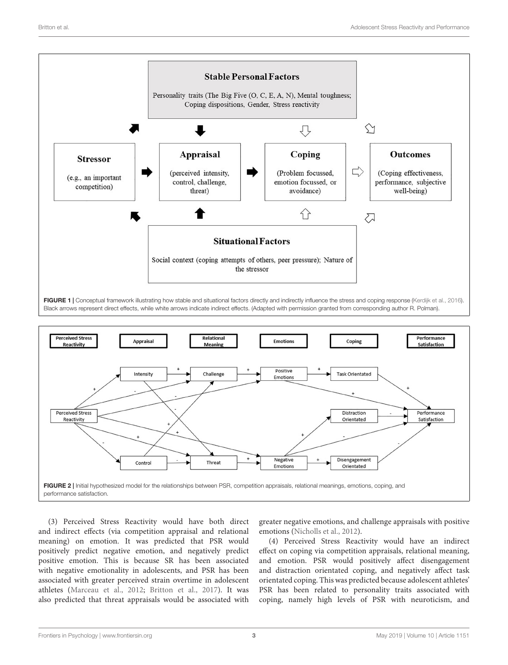

<span id="page-2-0"></span>

<span id="page-2-1"></span>(3) Perceived Stress Reactivity would have both direct and indirect effects (via competition appraisal and relational meaning) on emotion. It was predicted that PSR would positively predict negative emotion, and negatively predict positive emotion. This is because SR has been associated with negative emotionality in adolescents, and PSR has been associated with greater perceived strain overtime in adolescent athletes [\(Marceau et al.,](#page-12-13) [2012;](#page-12-13) [Britton et al.,](#page-11-15) [2017\)](#page-11-15). It was also predicted that threat appraisals would be associated with

greater negative emotions, and challenge appraisals with positive emotions [\(Nicholls et al.,](#page-12-0) [2012\)](#page-12-0).

(4) Perceived Stress Reactivity would have an indirect effect on coping via competition appraisals, relational meaning, and emotion. PSR would positively affect disengagement and distraction orientated coping, and negatively affect task orientated coping. This was predicted because adolescent athletes' PSR has been related to personality traits associated with coping, namely high levels of PSR with neuroticism, and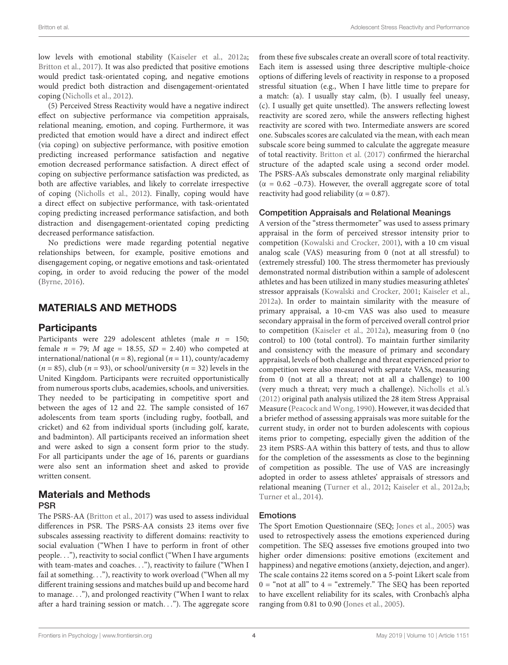low levels with emotional stability [\(Kaiseler et al.,](#page-11-13) [2012a;](#page-11-13) [Britton et al.,](#page-11-15) [2017\)](#page-11-15). It was also predicted that positive emotions would predict task-orientated coping, and negative emotions would predict both distraction and disengagement-orientated coping [\(Nicholls et al.,](#page-12-0) [2012\)](#page-12-0).

(5) Perceived Stress Reactivity would have a negative indirect effect on subjective performance via competition appraisals, relational meaning, emotion, and coping. Furthermore, it was predicted that emotion would have a direct and indirect effect (via coping) on subjective performance, with positive emotion predicting increased performance satisfaction and negative emotion decreased performance satisfaction. A direct effect of coping on subjective performance satisfaction was predicted, as both are affective variables, and likely to correlate irrespective of coping [\(Nicholls et al.,](#page-12-0) [2012\)](#page-12-0). Finally, coping would have a direct effect on subjective performance, with task-orientated coping predicting increased performance satisfaction, and both distraction and disengagement-orientated coping predicting decreased performance satisfaction.

No predictions were made regarding potential negative relationships between, for example, positive emotions and disengagement coping, or negative emotions and task-orientated coping, in order to avoid reducing the power of the model [\(Byrne,](#page-11-16) [2016\)](#page-11-16).

# MATERIALS AND METHODS

#### **Participants**

Participants were 229 adolescent athletes (male  $n = 150$ ; female  $n = 79$ ; *M* age = 18.55, *SD* = 2.40) who competed at international/national ( $n = 8$ ), regional ( $n = 11$ ), county/academy  $(n = 85)$ , club  $(n = 93)$ , or school/university  $(n = 32)$  levels in the United Kingdom. Participants were recruited opportunistically from numerous sports clubs, academies, schools, and universities. They needed to be participating in competitive sport and between the ages of 12 and 22. The sample consisted of 167 adolescents from team sports (including rugby, football, and cricket) and 62 from individual sports (including golf, karate, and badminton). All participants received an information sheet and were asked to sign a consent form prior to the study. For all participants under the age of 16, parents or guardians were also sent an information sheet and asked to provide written consent.

### Materials and Methods PSR

The PSRS-AA [\(Britton et al.,](#page-11-15) [2017\)](#page-11-15) was used to assess individual differences in PSR. The PSRS-AA consists 23 items over five subscales assessing reactivity to different domains: reactivity to social evaluation ("When I have to perform in front of other people. . ."), reactivity to social conflict ("When I have arguments with team-mates and coaches. . ."), reactivity to failure ("When I fail at something. . ."), reactivity to work overload ("When all my different training sessions and matches build up and become hard to manage. . ."), and prolonged reactivity ("When I want to relax after a hard training session or match. . ."). The aggregate score

from these five subscales create an overall score of total reactivity. Each item is assessed using three descriptive multiple-choice options of differing levels of reactivity in response to a proposed stressful situation (e.g., When I have little time to prepare for a match: (a). I usually stay calm, (b). I usually feel uneasy, (c). I usually get quite unsettled). The answers reflecting lowest reactivity are scored zero, while the answers reflecting highest reactivity are scored with two. Intermediate answers are scored one. Subscales scores are calculated via the mean, with each mean subscale score being summed to calculate the aggregate measure of total reactivity. [Britton et al.](#page-11-15) [\(2017\)](#page-11-15) confirmed the hierarchal structure of the adapted scale using a second order model. The PSRS-AA's subscales demonstrate only marginal reliability ( $\alpha$  = 0.62 –0.73). However, the overall aggregate score of total reactivity had good reliability ( $\alpha = 0.87$ ).

#### Competition Appraisals and Relational Meanings

A version of the "stress thermometer" was used to assess primary appraisal in the form of perceived stressor intensity prior to competition [\(Kowalski and Crocker,](#page-12-21) [2001\)](#page-12-21), with a 10 cm visual analog scale (VAS) measuring from 0 (not at all stressful) to (extremely stressful) 100. The stress thermometer has previously demonstrated normal distribution within a sample of adolescent athletes and has been utilized in many studies measuring athletes' stressor appraisals [\(Kowalski and Crocker,](#page-12-21) [2001;](#page-12-21) [Kaiseler et al.,](#page-11-13) [2012a\)](#page-11-13). In order to maintain similarity with the measure of primary appraisal, a 10-cm VAS was also used to measure secondary appraisal in the form of perceived overall control prior to competition [\(Kaiseler et al.,](#page-11-13) [2012a\)](#page-11-13), measuring from 0 (no control) to 100 (total control). To maintain further similarity and consistency with the measure of primary and secondary appraisal, levels of both challenge and threat experienced prior to competition were also measured with separate VASs, measuring from 0 (not at all a threat; not at all a challenge) to 100 (very much a threat; very much a challenge). [Nicholls et al.'s](#page-12-0) [\(2012\)](#page-12-0) original path analysis utilized the 28 item Stress Appraisal Measure [\(Peacock and Wong,](#page-12-22) [1990\)](#page-12-22). However, it was decided that a briefer method of assessing appraisals was more suitable for the current study, in order not to burden adolescents with copious items prior to competing, especially given the addition of the 23 item PSRS-AA within this battery of tests, and thus to allow for the completion of the assessments as close to the beginning of competition as possible. The use of VAS are increasingly adopted in order to assess athletes' appraisals of stressors and relational meaning [\(Turner et al.,](#page-12-23) [2012;](#page-12-23) [Kaiseler et al.,](#page-11-13) [2012a](#page-11-13)[,b;](#page-12-17) [Turner et al.,](#page-12-24) [2014\)](#page-12-24).

#### Emotions

The Sport Emotion Questionnaire (SEQ; [Jones et al.,](#page-11-17) [2005\)](#page-11-17) was used to retrospectively assess the emotions experienced during competition. The SEQ assesses five emotions grouped into two higher order dimensions: positive emotions (excitement and happiness) and negative emotions (anxiety, dejection, and anger). The scale contains 22 items scored on a 5-point Likert scale from  $0 =$  "not at all" to  $4 =$  "extremely." The SEQ has been reported to have excellent reliability for its scales, with Cronbach's alpha ranging from 0.81 to 0.90 [\(Jones et al.,](#page-11-17) [2005\)](#page-11-17).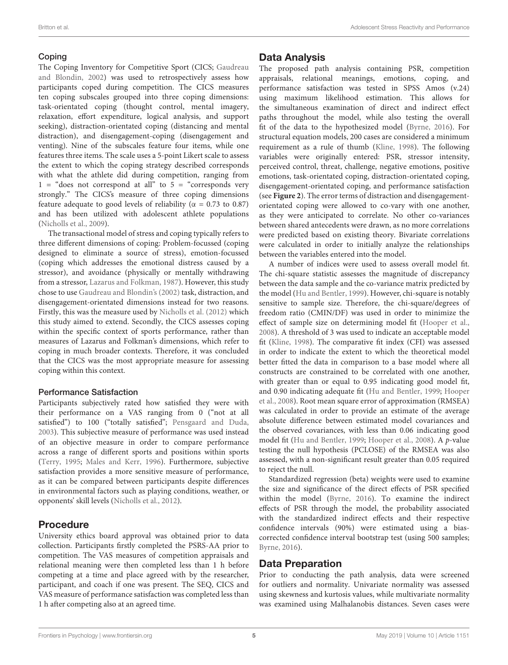#### Coping

The Coping Inventory for Competitive Sport (CICS; [Gaudreau](#page-11-18) [and Blondin,](#page-11-18) [2002\)](#page-11-18) was used to retrospectively assess how participants coped during competition. The CICS measures ten coping subscales grouped into three coping dimensions: task-orientated coping (thought control, mental imagery, relaxation, effort expenditure, logical analysis, and support seeking), distraction-orientated coping (distancing and mental distraction), and disengagement-coping (disengagement and venting). Nine of the subscales feature four items, while one features three items. The scale uses a 5-point Likert scale to assess the extent to which the coping strategy described corresponds with what the athlete did during competition, ranging from  $1 =$  "does not correspond at all" to  $5 =$  "corresponds very strongly." The CICS's measure of three coping dimensions feature adequate to good levels of reliability ( $\alpha = 0.73$  to 0.87) and has been utilized with adolescent athlete populations [\(Nicholls et al.,](#page-12-8) [2009\)](#page-12-8).

The transactional model of stress and coping typically refers to three different dimensions of coping: Problem-focussed (coping designed to eliminate a source of stress), emotion-focussed (coping which addresses the emotional distress caused by a stressor), and avoidance (physically or mentally withdrawing from a stressor, [Lazarus and Folkman,](#page-12-1) [1987\)](#page-12-1). However, this study chose to use [Gaudreau and Blondin'](#page-11-18)s [\(2002\)](#page-11-18) task, distraction, and disengagement-orientated dimensions instead for two reasons. Firstly, this was the measure used by [Nicholls et al.](#page-12-0) [\(2012\)](#page-12-0) which this study aimed to extend. Secondly, the CICS assesses coping within the specific context of sports performance, rather than measures of Lazarus and Folkman's dimensions, which refer to coping in much broader contexts. Therefore, it was concluded that the CICS was the most appropriate measure for assessing coping within this context.

#### Performance Satisfaction

Participants subjectively rated how satisfied they were with their performance on a VAS ranging from 0 ("not at all satisfied") to 100 ("totally satisfied"; [Pensgaard and Duda,](#page-12-25) [2003\)](#page-12-25). This subjective measure of performance was used instead of an objective measure in order to compare performance across a range of different sports and positions within sports [\(Terry,](#page-12-26) [1995;](#page-12-26) [Males and Kerr,](#page-12-27) [1996\)](#page-12-27). Furthermore, subjective satisfaction provides a more sensitive measure of performance, as it can be compared between participants despite differences in environmental factors such as playing conditions, weather, or opponents' skill levels [\(Nicholls et al.,](#page-12-0) [2012\)](#page-12-0).

#### Procedure

University ethics board approval was obtained prior to data collection. Participants firstly completed the PSRS-AA prior to competition. The VAS measures of competition appraisals and relational meaning were then completed less than 1 h before competing at a time and place agreed with by the researcher, participant, and coach if one was present. The SEQ, CICS and VAS measure of performance satisfaction was completed less than 1 h after competing also at an agreed time.

#### Data Analysis

The proposed path analysis containing PSR, competition appraisals, relational meanings, emotions, coping, and performance satisfaction was tested in SPSS Amos (v.24) using maximum likelihood estimation. This allows for the simultaneous examination of direct and indirect effect paths throughout the model, while also testing the overall fit of the data to the hypothesized model [\(Byrne,](#page-11-16) [2016\)](#page-11-16). For structural equation models, 200 cases are considered a minimum requirement as a rule of thumb [\(Kline,](#page-12-28) [1998\)](#page-12-28). The following variables were originally entered: PSR, stressor intensity, perceived control, threat, challenge, negative emotions, positive emotions, task-orientated coping, distraction-orientated coping, disengagement-orientated coping, and performance satisfaction (see **[Figure 2](#page-2-1)**). The error terms of distraction and disengagementorientated coping were allowed to co-vary with one another, as they were anticipated to correlate. No other co-variances between shared antecedents were drawn, as no more correlations were predicted based on existing theory. Bivariate correlations were calculated in order to initially analyze the relationships between the variables entered into the model.

A number of indices were used to assess overall model fit. The chi-square statistic assesses the magnitude of discrepancy between the data sample and the co-variance matrix predicted by the model [\(Hu and Bentler,](#page-11-19) [1999\)](#page-11-19). However, chi-square is notably sensitive to sample size. Therefore, the chi-square/degrees of freedom ratio (CMIN/DF) was used in order to minimize the effect of sample size on determining model fit [\(Hooper et al.,](#page-11-20) [2008\)](#page-11-20). A threshold of 3 was used to indicate an acceptable model fit [\(Kline,](#page-12-28) [1998\)](#page-12-28). The comparative fit index (CFI) was assessed in order to indicate the extent to which the theoretical model better fitted the data in comparison to a base model where all constructs are constrained to be correlated with one another, with greater than or equal to 0.95 indicating good model fit, and 0.90 indicating adequate fit [\(Hu and Bentler,](#page-11-19) [1999;](#page-11-19) [Hooper](#page-11-20) [et al.,](#page-11-20) [2008\)](#page-11-20). Root mean square error of approximation (RMSEA) was calculated in order to provide an estimate of the average absolute difference between estimated model covariances and the observed covariances, with less than 0.06 indicating good model fit [\(Hu and Bentler,](#page-11-19) [1999;](#page-11-19) [Hooper et al.,](#page-11-20) [2008\)](#page-11-20). A p-value testing the null hypothesis (PCLOSE) of the RMSEA was also assessed, with a non-significant result greater than 0.05 required to reject the null.

Standardized regression (beta) weights were used to examine the size and significance of the direct effects of PSR specified within the model [\(Byrne,](#page-11-16) [2016\)](#page-11-16). To examine the indirect effects of PSR through the model, the probability associated with the standardized indirect effects and their respective confidence intervals (90%) were estimated using a biascorrected confidence interval bootstrap test (using 500 samples; [Byrne,](#page-11-16) [2016\)](#page-11-16).

#### Data Preparation

Prior to conducting the path analysis, data were screened for outliers and normality. Univariate normality was assessed using skewness and kurtosis values, while multivariate normality was examined using Malhalanobis distances. Seven cases were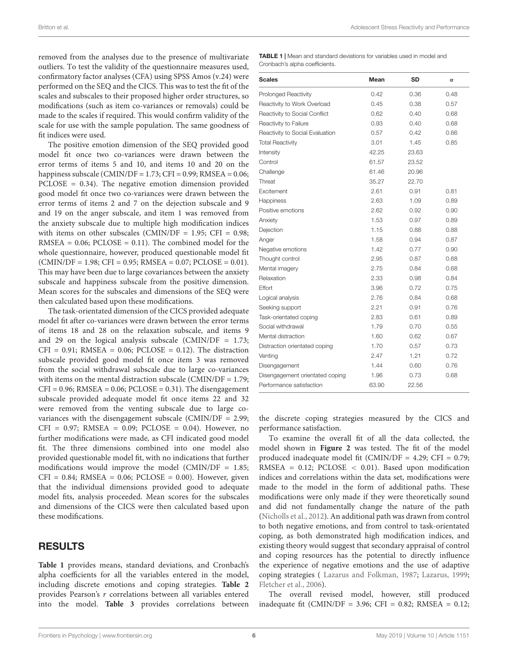removed from the analyses due to the presence of multivariate outliers. To test the validity of the questionnaire measures used, confirmatory factor analyses (CFA) using SPSS Amos (v.24) were performed on the SEQ and the CICS. This was to test the fit of the scales and subscales to their proposed higher order structures, so modifications (such as item co-variances or removals) could be made to the scales if required. This would confirm validity of the scale for use with the sample population. The same goodness of fit indices were used.

The positive emotion dimension of the SEQ provided good model fit once two co-variances were drawn between the error terms of items 5 and 10, and items 10 and 20 on the happiness subscale (CMIN/DF = 1.73; CFI = 0.99; RMSEA = 0.06; PCLOSE = 0.34). The negative emotion dimension provided good model fit once two co-variances were drawn between the error terms of items 2 and 7 on the dejection subscale and 9 and 19 on the anger subscale, and item 1 was removed from the anxiety subscale due to multiple high modification indices with items on other subscales (CMIN/DF =  $1.95$ ; CFI = 0.98;  $RMSEA = 0.06$ ;  $PCLOSE = 0.11$ ). The combined model for the whole questionnaire, however, produced questionable model fit  $(CMIN/DF = 1.98; CFI = 0.95; RMSEA = 0.07; PCLOSE = 0.01).$ This may have been due to large covariances between the anxiety subscale and happiness subscale from the positive dimension. Mean scores for the subscales and dimensions of the SEQ were then calculated based upon these modifications.

The task-orientated dimension of the CICS provided adequate model fit after co-variances were drawn between the error terms of items 18 and 28 on the relaxation subscale, and items 9 and 29 on the logical analysis subscale (CMIN/DF  $= 1.73$ ;  $CFI = 0.91$ ; RMSEA = 0.06; PCLOSE = 0.12). The distraction subscale provided good model fit once item 3 was removed from the social withdrawal subscale due to large co-variances with items on the mental distraction subscale (CMIN/DF =  $1.79$ ;  $CFI = 0.96$ ; RMSEA =  $0.06$ ; PCLOSE =  $0.31$ ). The disengagement subscale provided adequate model fit once items 22 and 32 were removed from the venting subscale due to large covariances with the disengagement subscale (CMIN/DF = 2.99;  $CFI = 0.97$ ; RMSEA = 0.09; PCLOSE = 0.04). However, no further modifications were made, as CFI indicated good model fit. The three dimensions combined into one model also provided questionable model fit, with no indications that further modifications would improve the model (CMIN/DF  $= 1.85$ ;  $CFI = 0.84$ ; RMSEA = 0.06; PCLOSE = 0.00). However, given that the individual dimensions provided good to adequate model fits, analysis proceeded. Mean scores for the subscales and dimensions of the CICS were then calculated based upon these modifications.

#### RESULTS

**[Table 1](#page-5-0)** provides means, standard deviations, and Cronbach's alpha coefficients for all the variables entered in the model, including discrete emotions and coping strategies. **[Table 2](#page-6-0)** provides Pearson's r correlations between all variables entered into the model. **[Table 3](#page-6-1)** provides correlations between

<span id="page-5-0"></span>TABLE 1 | Mean and standard deviations for variables used in model and Cronbach's alpha coefficients.

| <b>Scales</b>                   | Mean  | SD    | $\alpha$ |
|---------------------------------|-------|-------|----------|
| <b>Prolonged Reactivity</b>     | 0.42  | 0.36  | 0.48     |
| Reactivity to Work Overload     | 0.45  | 0.38  | 0.57     |
| Reactivity to Social Conflict   | 0.62  | 0.40  | 0.68     |
| Reactivity to Failure           | 0.93  | 0.40  | 0.68     |
| Reactivity to Social Evaluation | 0.57  | 0.42  | 0.66     |
| <b>Total Reactivity</b>         | 3.01  | 1.45  | 0.85     |
| Intensity                       | 42.25 | 23.63 |          |
| Control                         | 61.57 | 23.52 |          |
| Challenge                       | 61.46 | 20.96 |          |
| Threat                          | 35.27 | 22.70 |          |
| Excitement                      | 2.61  | 0.91  | 0.81     |
| Happiness                       | 2.63  | 1.09  | 0.89     |
| Positive emotions               | 2.62  | 0.92  | 0.90     |
| Anxiety                         | 1.53  | 0.97  | 0.89     |
| Dejection                       | 1.15  | 0.88  | 0.88     |
| Anger                           | 1.58  | 0.94  | 0.87     |
| Negative emotions               | 1.42  | 0.77  | 0.90     |
| Thought control                 | 2.95  | 0.87  | 0.68     |
| Mental imagery                  | 2.75  | 0.84  | 0.68     |
| Relaxation                      | 2.33  | 0.98  | 0.84     |
| Effort                          | 3.96  | 0.72  | 0.75     |
| Logical analysis                | 2.76  | 0.84  | 0.68     |
| Seeking support                 | 2.21  | 0.91  | 0.76     |
| Task-orientated coping          | 2.83  | 0.61  | 0.89     |
| Social withdrawal               | 1.79  | 0.70  | 0.55     |
| Mental distraction              | 1.60  | 0.62  | 0.67     |
| Distraction orientated coping   | 1.70  | 0.57  | 0.73     |
| Venting                         | 2.47  | 1.21  | 0.72     |
| Disengagement                   | 1.44  | 0.60  | 0.76     |
| Disengagement orientated coping | 1.96  | 0.73  | 0.68     |
| Performance satisfaction        | 63.90 | 22.56 |          |

the discrete coping strategies measured by the CICS and performance satisfaction.

To examine the overall fit of all the data collected, the model shown in **[Figure 2](#page-2-1)** was tested. The fit of the model produced inadequate model fit (CMIN/DF = 4.29; CFI = 0.79; RMSEA =  $0.12$ ; PCLOSE <  $0.01$ ). Based upon modification indices and correlations within the data set, modifications were made to the model in the form of additional paths. These modifications were only made if they were theoretically sound and did not fundamentally change the nature of the path [\(Nicholls et al.,](#page-12-0) [2012\)](#page-12-0). An additional path was drawn from control to both negative emotions, and from control to task-orientated coping, as both demonstrated high modification indices, and existing theory would suggest that secondary appraisal of control and coping resources has the potential to directly influence the experience of negative emotions and the use of adaptive coping strategies ( [Lazarus and Folkman,](#page-12-1) [1987;](#page-12-1) [Lazarus,](#page-12-29) [1999;](#page-12-29) [Fletcher et al.,](#page-11-1) [2006\)](#page-11-1).

The overall revised model, however, still produced inadequate fit (CMIN/DF = 3.96; CFI =  $0.82$ ; RMSEA =  $0.12$ ;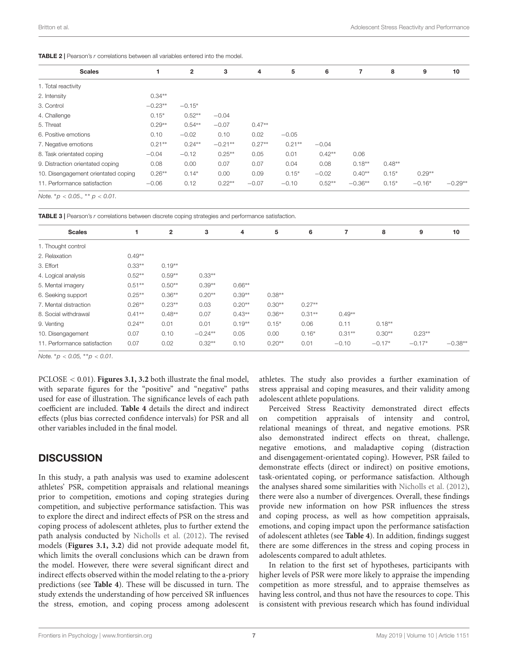<span id="page-6-0"></span>

| <b>Scales</b>                       |           | $\overline{2}$ | 3         | 4        | 5        | 6        | 7         | 8        | 9        | 10        |
|-------------------------------------|-----------|----------------|-----------|----------|----------|----------|-----------|----------|----------|-----------|
| 1. Total reactivity                 |           |                |           |          |          |          |           |          |          |           |
| 2. Intensity                        | $0.34**$  |                |           |          |          |          |           |          |          |           |
| 3. Control                          | $-0.23**$ | $-0.15*$       |           |          |          |          |           |          |          |           |
| 4. Challenge                        | $0.15*$   | $0.52**$       | $-0.04$   |          |          |          |           |          |          |           |
| 5. Threat                           | $0.29**$  | $0.54**$       | $-0.07$   | $0.47**$ |          |          |           |          |          |           |
| 6. Positive emotions                | 0.10      | $-0.02$        | 0.10      | 0.02     | $-0.05$  |          |           |          |          |           |
| 7. Negative emotions                | $0.21**$  | $0.24**$       | $-0.21**$ | $0.27**$ | $0.21**$ | $-0.04$  |           |          |          |           |
| 8. Task orientated coping           | $-0.04$   | $-0.12$        | $0.25***$ | 0.05     | 0.01     | $0.42**$ | 0.06      |          |          |           |
| 9. Distraction orientated coping    | 0.08      | 0.00           | 0.07      | 0.07     | 0.04     | 0.08     | $0.18**$  | $0.48**$ |          |           |
| 10. Disengagement orientated coping | $0.26**$  | $0.14*$        | 0.00      | 0.09     | $0.15*$  | $-0.02$  | $0.40**$  | $0.15*$  | $0.29**$ |           |
| 11. Performance satisfaction        | $-0.06$   | 0.12           | $0.22**$  | $-0.07$  | $-0.10$  | $0.52**$ | $-0.36**$ | $0.15*$  | $-0.16*$ | $-0.29**$ |
|                                     |           |                |           |          |          |          |           |          |          |           |

Note.  ${}^*p < 0.05$ .,  ${}^{**}p < 0.01$ .

<span id="page-6-1"></span>TABLE 3 | Pearson's r correlations between discrete coping strategies and performance satisfaction.

|          | $\mathbf{2}$ | 3         | 4        | 5        | 6        |          | 8        | 9        | 10        |
|----------|--------------|-----------|----------|----------|----------|----------|----------|----------|-----------|
|          |              |           |          |          |          |          |          |          |           |
| $0.49**$ |              |           |          |          |          |          |          |          |           |
| $0.33**$ | $0.19**$     |           |          |          |          |          |          |          |           |
| $0.52**$ | $0.59**$     | $0.33**$  |          |          |          |          |          |          |           |
| $0.51**$ | $0.50**$     | $0.39**$  | $0.66**$ |          |          |          |          |          |           |
| $0.25**$ | $0.36**$     | $0.20**$  | $0.39**$ | $0.38**$ |          |          |          |          |           |
| $0.26**$ | $0.23**$     | 0.03      | $0.20**$ | $0.30**$ | $0.27**$ |          |          |          |           |
| $0.41**$ | $0.48**$     | 0.07      | $0.43**$ | $0.36**$ | $0.31**$ | $0.49**$ |          |          |           |
| $0.24**$ | 0.01         | 0.01      | $0.19**$ | $0.15*$  | 0.06     | 0.11     | $0.18**$ |          |           |
| 0.07     | 0.10         | $-0.24**$ | 0.05     | 0.00     | $0.16*$  | $0.31**$ | $0.30**$ | $0.23**$ |           |
| 0.07     | 0.02         | $0.32**$  | 0.10     | $0.20**$ | 0.01     | $-0.10$  | $-0.17*$ | $-0.17*$ | $-0.38**$ |
|          |              |           |          |          |          |          |          |          |           |

Note.  ${}^*p < 0.05$ ,  ${}^{**}p < 0.01$ .

PCLOSE < 0.01). **[Figures 3.1, 3.2](#page-7-0)** both illustrate the final model, with separate figures for the "positive" and "negative" paths used for ease of illustration. The significance levels of each path coefficient are included. **[Table 4](#page-8-0)** details the direct and indirect effects (plus bias corrected confidence intervals) for PSR and all other variables included in the final model.

### **DISCUSSION**

In this study, a path analysis was used to examine adolescent athletes' PSR, competition appraisals and relational meanings prior to competition, emotions and coping strategies during competition, and subjective performance satisfaction. This was to explore the direct and indirect effects of PSR on the stress and coping process of adolescent athletes, plus to further extend the path analysis conducted by [Nicholls et al.](#page-12-0) [\(2012\)](#page-12-0). The revised models (**[Figures 3.1, 3.2](#page-7-0)**) did not provide adequate model fit, which limits the overall conclusions which can be drawn from the model. However, there were several significant direct and indirect effects observed within the model relating to the a-priory predictions (see **[Table 4](#page-8-0)**). These will be discussed in turn. The study extends the understanding of how perceived SR influences the stress, emotion, and coping process among adolescent

athletes. The study also provides a further examination of stress appraisal and coping measures, and their validity among adolescent athlete populations.

Perceived Stress Reactivity demonstrated direct effects on competition appraisals of intensity and control, relational meanings of threat, and negative emotions. PSR also demonstrated indirect effects on threat, challenge, negative emotions, and maladaptive coping (distraction and disengagement-orientated coping). However, PSR failed to demonstrate effects (direct or indirect) on positive emotions, task-orientated coping, or performance satisfaction. Although the analyses shared some similarities with [Nicholls et al.](#page-12-0) [\(2012\)](#page-12-0), there were also a number of divergences. Overall, these findings provide new information on how PSR influences the stress and coping process, as well as how competition appraisals, emotions, and coping impact upon the performance satisfaction of adolescent athletes (see **[Table 4](#page-8-0)**). In addition, findings suggest there are some differences in the stress and coping process in adolescents compared to adult athletes.

In relation to the first set of hypotheses, participants with higher levels of PSR were more likely to appraise the impending competition as more stressful, and to appraise themselves as having less control, and thus not have the resources to cope. This is consistent with previous research which has found individual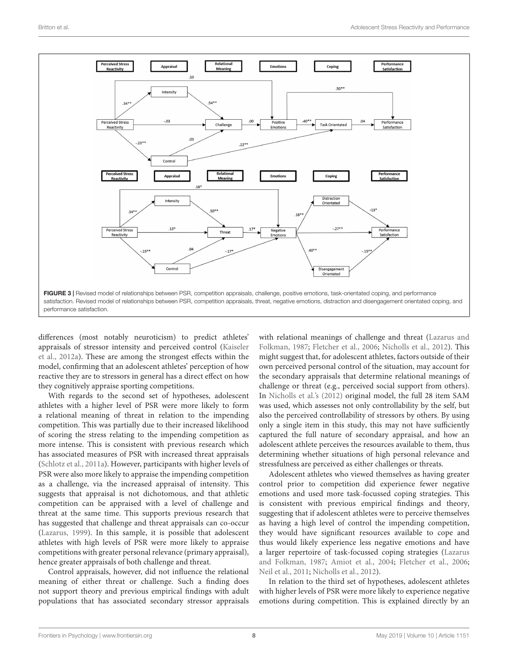

<span id="page-7-0"></span>differences (most notably neuroticism) to predict athletes' appraisals of stressor intensity and perceived control [\(Kaiseler](#page-11-13) [et al.,](#page-11-13) [2012a\)](#page-11-13). These are among the strongest effects within the model, confirming that an adolescent athletes' perception of how reactive they are to stressors in general has a direct effect on how they cognitively appraise sporting competitions.

With regards to the second set of hypotheses, adolescent athletes with a higher level of PSR were more likely to form a relational meaning of threat in relation to the impending competition. This was partially due to their increased likelihood of scoring the stress relating to the impending competition as more intense. This is consistent with previous research which has associated measures of PSR with increased threat appraisals [\(Schlotz et al.,](#page-12-10) [2011a\)](#page-12-10). However, participants with higher levels of PSR were also more likely to appraise the impending competition as a challenge, via the increased appraisal of intensity. This suggests that appraisal is not dichotomous, and that athletic competition can be appraised with a level of challenge and threat at the same time. This supports previous research that has suggested that challenge and threat appraisals can co-occur [\(Lazarus,](#page-12-29) [1999\)](#page-12-29). In this sample, it is possible that adolescent athletes with high levels of PSR were more likely to appraise competitions with greater personal relevance (primary appraisal), hence greater appraisals of both challenge and threat.

Control appraisals, however, did not influence the relational meaning of either threat or challenge. Such a finding does not support theory and previous empirical findings with adult populations that has associated secondary stressor appraisals

with relational meanings of challenge and threat [\(Lazarus and](#page-12-1) [Folkman,](#page-12-1) [1987;](#page-12-1) [Fletcher et al.,](#page-11-1) [2006;](#page-11-1) [Nicholls et al.,](#page-12-0) [2012\)](#page-12-0). This might suggest that, for adolescent athletes, factors outside of their own perceived personal control of the situation, may account for the secondary appraisals that determine relational meanings of challenge or threat (e.g., perceived social support from others). In [Nicholls et al.'](#page-12-0)s [\(2012\)](#page-12-0) original model, the full 28 item SAM was used, which assesses not only controllability by the self, but also the perceived controllability of stressors by others. By using only a single item in this study, this may not have sufficiently captured the full nature of secondary appraisal, and how an adolescent athlete perceives the resources available to them, thus determining whether situations of high personal relevance and stressfulness are perceived as either challenges or threats.

Adolescent athletes who viewed themselves as having greater control prior to competition did experience fewer negative emotions and used more task-focussed coping strategies. This is consistent with previous empirical findings and theory, suggesting that if adolescent athletes were to perceive themselves as having a high level of control the impending competition, they would have significant resources available to cope and thus would likely experience less negative emotions and have a larger repertoire of task-focussed coping strategies [\(Lazarus](#page-12-1) [and Folkman,](#page-12-1) [1987;](#page-12-1) [Amiot et al.,](#page-11-21) [2004;](#page-11-21) [Fletcher et al.,](#page-11-1) [2006;](#page-11-1) [Neil et al.,](#page-12-6) [2011;](#page-12-6) [Nicholls et al.,](#page-12-0) [2012\)](#page-12-0).

In relation to the third set of hypotheses, adolescent athletes with higher levels of PSR were more likely to experience negative emotions during competition. This is explained directly by an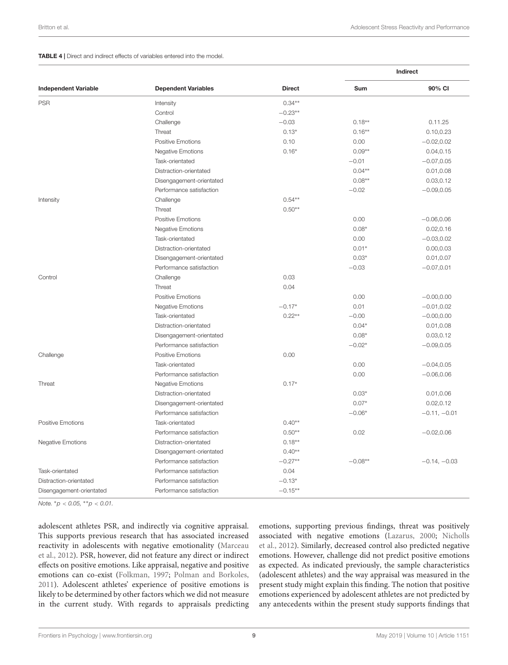#### <span id="page-8-0"></span>TABLE 4 | Direct and indirect effects of variables entered into the model.

|                             |                            |               | Indirect   |                |  |
|-----------------------------|----------------------------|---------------|------------|----------------|--|
| <b>Independent Variable</b> | <b>Dependent Variables</b> | <b>Direct</b> | <b>Sum</b> | 90% CI         |  |
| <b>PSR</b>                  | Intensity                  | $0.34**$      |            |                |  |
|                             | Control                    | $-0.23**$     |            |                |  |
|                             | Challenge                  | $-0.03$       | $0.18**$   | 0.11.25        |  |
|                             | Threat                     | $0.13*$       | $0.16**$   | 0.10, 0.23     |  |
|                             | Positive Emotions          | 0.10          | 0.00       | $-0.02, 0.02$  |  |
|                             | Negative Emotions          | $0.16*$       | $0.09**$   | 0.04, 0.15     |  |
|                             | Task-orientated            |               | $-0.01$    | $-0.07, 0.05$  |  |
|                             | Distraction-orientated     |               | $0.04**$   | 0.01, 0.08     |  |
|                             | Disengagement-orientated   |               | $0.08**$   | 0.03, 0.12     |  |
|                             | Performance satisfaction   |               | $-0.02$    | $-0.09, 0.05$  |  |
| Intensity                   | Challenge                  | $0.54**$      |            |                |  |
|                             | Threat                     | $0.50**$      |            |                |  |
|                             | Positive Emotions          |               | 0.00       | $-0.06, 0.06$  |  |
|                             | Negative Emotions          |               | $0.08*$    | 0.02, 0.16     |  |
|                             | Task-orientated            |               | 0.00       | $-0.03, 0.02$  |  |
|                             | Distraction-orientated     |               | $0.01*$    | 0.00, 0.03     |  |
|                             | Disengagement-orientated   |               | $0.03*$    | 0.01, 0.07     |  |
|                             | Performance satisfaction   |               | $-0.03$    | $-0.07, 0.01$  |  |
| Control                     | Challenge                  | 0.03          |            |                |  |
|                             | Threat                     | 0.04          |            |                |  |
|                             | Positive Emotions          |               | 0.00       | $-0.00, 0.00$  |  |
|                             | <b>Negative Emotions</b>   | $-0.17*$      | 0.01       | $-0.01, 0.02$  |  |
|                             | Task-orientated            | $0.22**$      | $-0.00$    | $-0.00, 0.00$  |  |
|                             | Distraction-orientated     |               | $0.04*$    | 0.01, 0.08     |  |
|                             | Disengagement-orientated   |               | $0.08*$    | 0.03, 0.12     |  |
|                             | Performance satisfaction   |               | $-0.02*$   | $-0.09, 0.05$  |  |
| Challenge                   | <b>Positive Emotions</b>   | 0.00          |            |                |  |
|                             | Task-orientated            |               | 0.00       | $-0.04, 0.05$  |  |
|                             | Performance satisfaction   |               | 0.00       | $-0.06, 0.06$  |  |
| Threat                      | <b>Negative Emotions</b>   | $0.17*$       |            |                |  |
|                             | Distraction-orientated     |               | $0.03*$    | 0.01, 0.06     |  |
|                             | Disengagement-orientated   |               | $0.07*$    | 0.02, 0.12     |  |
|                             | Performance satisfaction   |               | $-0.06*$   | $-0.11, -0.01$ |  |
| <b>Positive Emotions</b>    | Task-orientated            | $0.40**$      |            |                |  |
|                             | Performance satisfaction   | $0.50**$      | 0.02       | $-0.02, 0.06$  |  |
| <b>Negative Emotions</b>    | Distraction-orientated     | $0.18**$      |            |                |  |
|                             | Disengagement-orientated   | $0.40**$      |            |                |  |
|                             | Performance satisfaction   | $-0.27**$     | $-0.08**$  | $-0.14, -0.03$ |  |
| Task-orientated             | Performance satisfaction   | 0.04          |            |                |  |
| Distraction-orientated      | Performance satisfaction   | $-0.13*$      |            |                |  |
| Disengagement-orientated    | Performance satisfaction   | $-0.15**$     |            |                |  |

Note.  ${}^*p < 0.05$ ,  ${}^{**}p < 0.01$ .

adolescent athletes PSR, and indirectly via cognitive appraisal. This supports previous research that has associated increased reactivity in adolescents with negative emotionality [\(Marceau](#page-12-13) [et al.,](#page-12-13) [2012\)](#page-12-13). PSR, however, did not feature any direct or indirect effects on positive emotions. Like appraisal, negative and positive emotions can co-exist [\(Folkman,](#page-11-22) [1997;](#page-11-22) [Polman and Borkoles,](#page-12-30) [2011\)](#page-12-30). Adolescent athletes' experience of positive emotions is likely to be determined by other factors which we did not measure in the current study. With regards to appraisals predicting emotions, supporting previous findings, threat was positively associated with negative emotions [\(Lazarus,](#page-12-2) [2000;](#page-12-2) [Nicholls](#page-12-0) [et al.,](#page-12-0) [2012\)](#page-12-0). Similarly, decreased control also predicted negative emotions. However, challenge did not predict positive emotions as expected. As indicated previously, the sample characteristics (adolescent athletes) and the way appraisal was measured in the present study might explain this finding. The notion that positive emotions experienced by adolescent athletes are not predicted by any antecedents within the present study supports findings that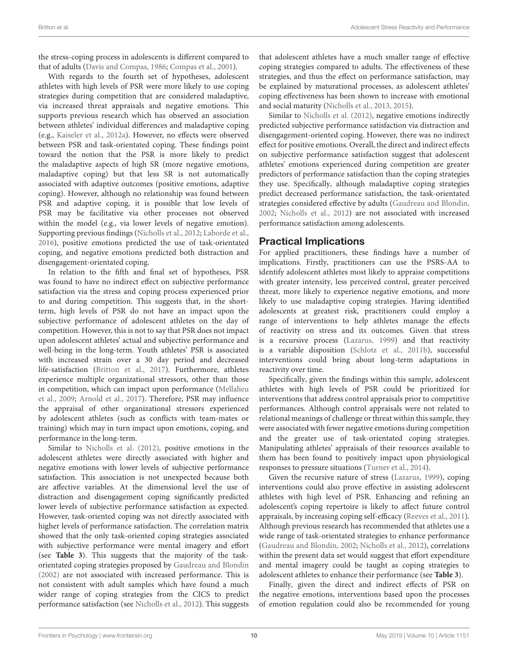the stress-coping process in adolescents is different compared to that of adults [\(Davis and Compas,](#page-11-23) [1986;](#page-11-23) [Compas et al.,](#page-11-3) [2001\)](#page-11-3).

With regards to the fourth set of hypotheses, adolescent athletes with high levels of PSR were more likely to use coping strategies during competition that are considered maladaptive, via increased threat appraisals and negative emotions. This supports previous research which has observed an association between athletes' individual differences and maladaptive coping (e.g., [Kaiseler et al.,](#page-11-13) [2012a\)](#page-11-13). However, no effects were observed between PSR and task-orientated coping. These findings point toward the notion that the PSR is more likely to predict the maladaptive aspects of high SR (more negative emotions, maladaptive coping) but that less SR is not automatically associated with adaptive outcomes (positive emotions, adaptive coping). However, although no relationship was found between PSR and adaptive coping, it is possible that low levels of PSR may be facilitative via other processes not observed within the model (e.g., via lower levels of negative emotion). Supporting previous findings [\(Nicholls et al.,](#page-12-0) [2012;](#page-12-0) [Laborde et al.,](#page-12-3) [2016\)](#page-12-3), positive emotions predicted the use of task-orientated coping, and negative emotions predicted both distraction and disengagement-orientated coping.

In relation to the fifth and final set of hypotheses, PSR was found to have no indirect effect on subjective performance satisfaction via the stress and coping process experienced prior to and during competition. This suggests that, in the shortterm, high levels of PSR do not have an impact upon the subjective performance of adolescent athletes on the day of competition. However, this is not to say that PSR does not impact upon adolescent athletes' actual and subjective performance and well-being in the long-term. Youth athletes' PSR is associated with increased strain over a 30 day period and decreased life-satisfaction [\(Britton et al.,](#page-11-15) [2017\)](#page-11-15). Furthermore, athletes experience multiple organizational stressors, other than those in competition, which can impact upon performance [\(Mellalieu](#page-12-31) [et al.,](#page-12-31) [2009;](#page-12-31) [Arnold et al.,](#page-11-2) [2017\)](#page-11-2). Therefore, PSR may influence the appraisal of other organizational stressors experienced by adolescent athletes (such as conflicts with team-mates or training) which may in turn impact upon emotions, coping, and performance in the long-term.

Similar to [Nicholls et al.](#page-12-0) [\(2012\)](#page-12-0), positive emotions in the adolescent athletes were directly associated with higher and negative emotions with lower levels of subjective performance satisfaction. This association is not unexpected because both are affective variables. At the dimensional level the use of distraction and disengagement coping significantly predicted lower levels of subjective performance satisfaction as expected. However, task-oriented coping was not directly associated with higher levels of performance satisfaction. The correlation matrix showed that the only task-oriented coping strategies associated with subjective performance were mental imagery and effort (see **[Table 3](#page-6-1)**). This suggests that the majority of the taskorientated coping strategies proposed by [Gaudreau and Blondin](#page-11-18) [\(2002\)](#page-11-18) are not associated with increased performance. This is not consistent with adult samples which have found a much wider range of coping strategies from the CICS to predict performance satisfaction (see [Nicholls et al.,](#page-12-0) [2012\)](#page-12-0). This suggests

that adolescent athletes have a much smaller range of effective coping strategies compared to adults. The effectiveness of these strategies, and thus the effect on performance satisfaction, may be explained by maturational processes, as adolescent athletes' coping effectiveness has been shown to increase with emotional and social maturity [\(Nicholls et al.,](#page-12-18) [2013,](#page-12-18) [2015\)](#page-12-19).

Similar to [Nicholls et al.](#page-12-0) [\(2012\)](#page-12-0), negative emotions indirectly predicted subjective performance satisfaction via distraction and disengagement-oriented coping. However, there was no indirect effect for positive emotions. Overall, the direct and indirect effects on subjective performance satisfaction suggest that adolescent athletes' emotions experienced during competition are greater predictors of performance satisfaction than the coping strategies they use. Specifically, although maladaptive coping strategies predict decreased performance satisfaction, the task-orientated strategies considered effective by adults [\(Gaudreau and Blondin,](#page-11-18) [2002;](#page-11-18) [Nicholls et al.,](#page-12-0) [2012\)](#page-12-0) are not associated with increased performance satisfaction among adolescents.

### Practical Implications

For applied practitioners, these findings have a number of implications. Firstly, practitioners can use the PSRS-AA to identify adolescent athletes most likely to appraise competitions with greater intensity, less perceived control, greater perceived threat, more likely to experience negative emotions, and more likely to use maladaptive coping strategies. Having identified adolescents at greatest risk, practitioners could employ a range of interventions to help athletes manage the effects of reactivity on stress and its outcomes. Given that stress is a recursive process [\(Lazarus,](#page-12-29) [1999\)](#page-12-29) and that reactivity is a variable disposition [\(Schlotz et al.,](#page-12-11) [2011b\)](#page-12-11), successful interventions could bring about long-term adaptations in reactivity over time.

Specifically, given the findings within this sample, adolescent athletes with high levels of PSR could be prioritized for interventions that address control appraisals prior to competitive performances. Although control appraisals were not related to relational meanings of challenge or threat within this sample, they were associated with fewer negative emotions during competition and the greater use of task-orientated coping strategies. Manipulating athletes' appraisals of their resources available to them has been found to positively impact upon physiological responses to pressure situations [\(Turner et al.,](#page-12-24) [2014\)](#page-12-24).

Given the recursive nature of stress [\(Lazarus,](#page-12-29) [1999\)](#page-12-29), coping interventions could also prove effective in assisting adolescent athletes with high level of PSR. Enhancing and refining an adolescent's coping repertoire is likely to affect future control appraisals, by increasing coping self-efficacy [\(Reeves et al.,](#page-12-32) [2011\)](#page-12-32). Although previous research has recommended that athletes use a wide range of task-orientated strategies to enhance performance [\(Gaudreau and Blondin,](#page-11-18) [2002;](#page-11-18) [Nicholls et al.,](#page-12-0) [2012\)](#page-12-0), correlations within the present data set would suggest that effort expenditure and mental imagery could be taught as coping strategies to adolescent athletes to enhance their performance (see **[Table 3](#page-6-1)**).

Finally, given the direct and indirect effects of PSR on the negative emotions, interventions based upon the processes of emotion regulation could also be recommended for young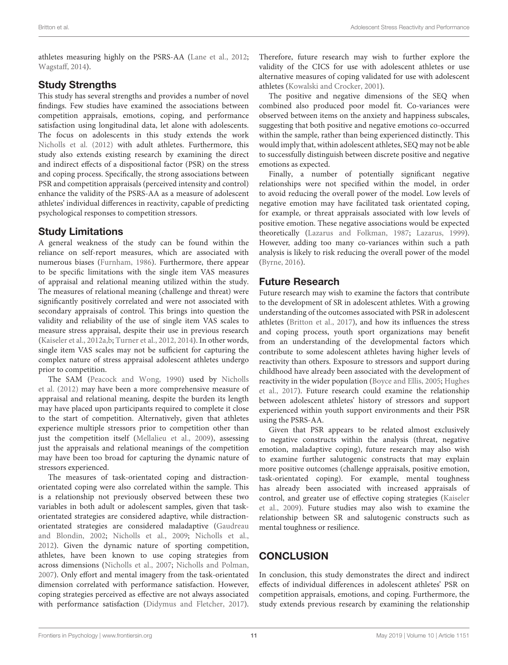athletes measuring highly on the PSRS-AA [\(Lane et al.,](#page-12-33) [2012;](#page-12-33) [Wagstaff,](#page-12-34) [2014\)](#page-12-34).

### Study Strengths

This study has several strengths and provides a number of novel findings. Few studies have examined the associations between competition appraisals, emotions, coping, and performance satisfaction using longitudinal data, let alone with adolescents. The focus on adolescents in this study extends the work [Nicholls et al.](#page-12-0) [\(2012\)](#page-12-0) with adult athletes. Furthermore, this study also extends existing research by examining the direct and indirect effects of a dispositional factor (PSR) on the stress and coping process. Specifically, the strong associations between PSR and competition appraisals (perceived intensity and control) enhance the validity of the PSRS-AA as a measure of adolescent athletes' individual differences in reactivity, capable of predicting psychological responses to competition stressors.

#### Study Limitations

A general weakness of the study can be found within the reliance on self-report measures, which are associated with numerous biases [\(Furnham,](#page-11-24) [1986\)](#page-11-24). Furthermore, there appear to be specific limitations with the single item VAS measures of appraisal and relational meaning utilized within the study. The measures of relational meaning (challenge and threat) were significantly positively correlated and were not associated with secondary appraisals of control. This brings into question the validity and reliability of the use of single item VAS scales to measure stress appraisal, despite their use in previous research [\(Kaiseler et al.,](#page-11-13) [2012a](#page-11-13)[,b;](#page-12-17) [Turner et al.,](#page-12-23) [2012,](#page-12-23) [2014\)](#page-12-24). In other words, single item VAS scales may not be sufficient for capturing the complex nature of stress appraisal adolescent athletes undergo prior to competition.

The SAM [\(Peacock and Wong,](#page-12-22) [1990\)](#page-12-22) used by [Nicholls](#page-12-0) [et al.](#page-12-0) [\(2012\)](#page-12-0) may have been a more comprehensive measure of appraisal and relational meaning, despite the burden its length may have placed upon participants required to complete it close to the start of competition. Alternatively, given that athletes experience multiple stressors prior to competition other than just the competition itself [\(Mellalieu et al.,](#page-12-31) [2009\)](#page-12-31), assessing just the appraisals and relational meanings of the competition may have been too broad for capturing the dynamic nature of stressors experienced.

The measures of task-orientated coping and distractionorientated coping were also correlated within the sample. This is a relationship not previously observed between these two variables in both adult or adolescent samples, given that taskorientated strategies are considered adaptive, while distractionorientated strategies are considered maladaptive [\(Gaudreau](#page-11-18) [and Blondin,](#page-11-18) [2002;](#page-11-18) [Nicholls et al.,](#page-12-8) [2009;](#page-12-8) [Nicholls et al.,](#page-12-0) [2012\)](#page-12-0). Given the dynamic nature of sporting competition, athletes, have been known to use coping strategies from across dimensions [\(Nicholls et al.,](#page-12-35) [2007;](#page-12-35) [Nicholls and Polman,](#page-12-36) [2007\)](#page-12-36). Only effort and mental imagery from the task-orientated dimension correlated with performance satisfaction. However, coping strategies perceived as effective are not always associated with performance satisfaction [\(Didymus and Fletcher,](#page-11-25) [2017\)](#page-11-25).

Therefore, future research may wish to further explore the validity of the CICS for use with adolescent athletes or use alternative measures of coping validated for use with adolescent athletes [\(Kowalski and Crocker,](#page-12-21) [2001\)](#page-12-21).

The positive and negative dimensions of the SEQ when combined also produced poor model fit. Co-variances were observed between items on the anxiety and happiness subscales, suggesting that both positive and negative emotions co-occurred within the sample, rather than being experienced distinctly. This would imply that, within adolescent athletes, SEQ may not be able to successfully distinguish between discrete positive and negative emotions as expected.

Finally, a number of potentially significant negative relationships were not specified within the model, in order to avoid reducing the overall power of the model. Low levels of negative emotion may have facilitated task orientated coping, for example, or threat appraisals associated with low levels of positive emotion. These negative associations would be expected theoretically [\(Lazarus and Folkman,](#page-12-1) [1987;](#page-12-1) [Lazarus,](#page-12-29) [1999\)](#page-12-29). However, adding too many co-variances within such a path analysis is likely to risk reducing the overall power of the model [\(Byrne,](#page-11-16) [2016\)](#page-11-16).

# Future Research

Future research may wish to examine the factors that contribute to the development of SR in adolescent athletes. With a growing understanding of the outcomes associated with PSR in adolescent athletes [\(Britton et al.,](#page-11-15) [2017\)](#page-11-15), and how its influences the stress and coping process, youth sport organizations may benefit from an understanding of the developmental factors which contribute to some adolescent athletes having higher levels of reactivity than others. Exposure to stressors and support during childhood have already been associated with the development of reactivity in the wider population [\(Boyce and Ellis,](#page-11-8) [2005;](#page-11-8) [Hughes](#page-11-12) [et al.,](#page-11-12) [2017\)](#page-11-12). Future research could examine the relationship between adolescent athletes' history of stressors and support experienced within youth support environments and their PSR using the PSRS-AA.

Given that PSR appears to be related almost exclusively to negative constructs within the analysis (threat, negative emotion, maladaptive coping), future research may also wish to examine further salutogenic constructs that may explain more positive outcomes (challenge appraisals, positive emotion, task-orientated coping). For example, mental toughness has already been associated with increased appraisals of control, and greater use of effective coping strategies [\(Kaiseler](#page-11-14) [et al.,](#page-11-14) [2009\)](#page-11-14). Future studies may also wish to examine the relationship between SR and salutogenic constructs such as mental toughness or resilience.

# **CONCLUSION**

In conclusion, this study demonstrates the direct and indirect effects of individual differences in adolescent athletes' PSR on competition appraisals, emotions, and coping. Furthermore, the study extends previous research by examining the relationship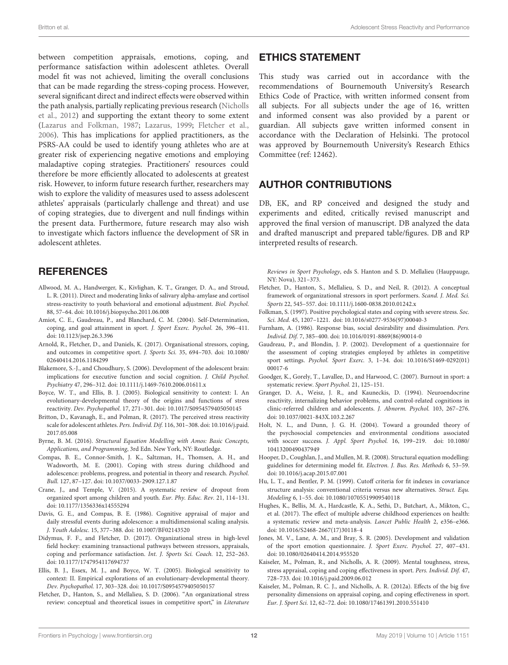between competition appraisals, emotions, coping, and performance satisfaction within adolescent athletes. Overall model fit was not achieved, limiting the overall conclusions that can be made regarding the stress-coping process. However, several significant direct and indirect effects were observed within the path analysis, partially replicating previous research [\(Nicholls](#page-12-0) [et al.,](#page-12-0) [2012\)](#page-12-0) and supporting the extant theory to some extent [\(Lazarus and Folkman,](#page-12-1) [1987;](#page-12-1) [Lazarus,](#page-12-29) [1999;](#page-12-29) [Fletcher et al.,](#page-11-1) [2006\)](#page-11-1). This has implications for applied practitioners, as the PSRS-AA could be used to identify young athletes who are at greater risk of experiencing negative emotions and employing maladaptive coping strategies. Practitioners' resources could therefore be more efficiently allocated to adolescents at greatest risk. However, to inform future research further, researchers may wish to explore the validity of measures used to assess adolescent athletes' appraisals (particularly challenge and threat) and use of coping strategies, due to divergent and null findings within the present data. Furthermore, future research may also wish to investigate which factors influence the development of SR in adolescent athletes.

### **REFERENCES**

- <span id="page-11-11"></span>Allwood, M. A., Handwerger, K., Kivlighan, K. T., Granger, D. A., and Stroud, L. R. (2011). Direct and moderating links of salivary alpha-amylase and cortisol stress-reactivity to youth behavioral and emotional adjustment. Biol. Psychol. 88, 57–64. [doi: 10.1016/j.biopsycho.2011.06.008](https://doi.org/10.1016/j.biopsycho.2011.06.008)
- <span id="page-11-21"></span>Amiot, C. E., Gaudreau, P., and Blanchard, C. M. (2004). Self-Determination, coping, and goal attainment in sport. J. Sport Exerc. Psychol. 26, 396–411. [doi: 10.1123/jsep.26.3.396](https://doi.org/10.1123/jsep.26.3.396)
- <span id="page-11-2"></span>Arnold, R., Fletcher, D., and Daniels, K. (2017). Organisational stressors, coping, and outcomes in competitive sport. J. Sports Sci. 35, 694–703. [doi: 10.1080/](https://doi.org/10.1080/02640414.2016.1184299) [02640414.2016.1184299](https://doi.org/10.1080/02640414.2016.1184299)
- <span id="page-11-7"></span>Blakemore, S.-J., and Choudhury, S. (2006). Development of the adolescent brain: implications for executive function and social cognition. J. Child Psychol. Psychiatry 47, 296–312. [doi: 10.1111/j.1469-7610.2006.01611.x](https://doi.org/10.1111/j.1469-7610.2006.01611.x)
- <span id="page-11-8"></span>Boyce, W. T., and Ellis, B. J. (2005). Biological sensitivity to context: I. An evolutionary-developmental theory of the origins and functions of stress reactivity. Dev. Psychopathol. 17, 271–301. [doi: 10.1017/S0954579405050145](https://doi.org/10.1017/S0954579405050145)
- <span id="page-11-15"></span>Britton, D., Kavanagh, E., and Polman, R. (2017). The perceived stress reactivity scale for adolescent athletes. Pers. Individ. Dif. 116, 301–308. [doi: 10.1016/j.paid.](https://doi.org/10.1016/j.paid.2017.05.008) [2017.05.008](https://doi.org/10.1016/j.paid.2017.05.008)
- <span id="page-11-16"></span>Byrne, B. M. (2016). Structural Equation Modelling with Amos: Basic Concepts, Applications, and Programming, 3rd Edn. New York, NY: Routledge.
- <span id="page-11-3"></span>Compas, B. E., Connor-Smith, J. K., Saltzman, H., Thomsen, A. H., and Wadsworth, M. E. (2001). Coping with stress during childhood and adolescence: problems, progress, and potential in theory and research. Psychol. Bull. 127, 87–127. [doi: 10.1037/0033-2909.127.1.87](https://doi.org/10.1037/0033-2909.127.1.87)
- <span id="page-11-5"></span>Crane, J., and Temple, V. (2015). A systematic review of dropout from organized sport among children and youth. Eur. Phy. Educ. Rev. 21, 114–131. [doi: 10.1177/1356336x14555294](https://doi.org/10.1177/1356336x14555294)
- <span id="page-11-23"></span>Davis, G. E., and Compas, B. E. (1986). Cognitive appraisal of major and daily stressful events during adolescence: a multidimensional scaling analysis. J. Youth Adolesc. 15, 377–388. [doi: 10.1007/BF02143520](https://doi.org/10.1007/BF02143520)
- <span id="page-11-25"></span>Didymus, F. F., and Fletcher, D. (2017). Organizational stress in high-level field hockey: examining transactional pathways between stressors, appraisals, coping and performance satisfaction. Int. J. Sports Sci. Coach. 12, 252–263. [doi: 10.1177/1747954117694737](https://doi.org/10.1177/1747954117694737)
- <span id="page-11-9"></span>Ellis, B. J., Essex, M. J., and Boyce, W. T. (2005). Biological sensitivity to context: II. Empirical explorations of an evolutionary-developmental theory. Dev. Psychopathol. 17, 303–328. [doi: 10.1017/S0954579405050157](https://doi.org/10.1017/S0954579405050157)
- <span id="page-11-1"></span>Fletcher, D., Hanton, S., and Mellalieu, S. D. (2006). "An organizational stress review: conceptual and theoretical issues in competitive sport," in Literature

### ETHICS STATEMENT

This study was carried out in accordance with the recommendations of Bournemouth University's Research Ethics Code of Practice, with written informed consent from all subjects. For all subjects under the age of 16, written and informed consent was also provided by a parent or guardian. All subjects gave written informed consent in accordance with the Declaration of Helsinki. The protocol was approved by Bournemouth University's Research Ethics Committee (ref: 12462).

# AUTHOR CONTRIBUTIONS

DB, EK, and RP conceived and designed the study and experiments and edited, critically revised manuscript and approved the final version of manuscript. DB analyzed the data and drafted manuscript and prepared table/figures. DB and RP interpreted results of research.

Reviews in Sport Psychology, eds S. Hanton and S. D. Mellalieu (Hauppauge, NY: Nova), 321–373.

- <span id="page-11-0"></span>Fletcher, D., Hanton, S., Mellalieu, S. D., and Neil, R. (2012). A conceptual framework of organizational stressors in sport performers. Scand. J. Med. Sci. Sports 22, 545–557. [doi: 10.1111/j.1600-0838.2010.01242.x](https://doi.org/10.1111/j.1600-0838.2010.01242.x)
- <span id="page-11-22"></span>Folkman, S. (1997). Positive psychological states and coping with severe stress. Soc. Sci. Med. 45, 1207–1221. [doi: 10.1016/s0277-9536\(97\)00040-3](https://doi.org/10.1016/s0277-9536(97)00040-3)
- <span id="page-11-24"></span>Furnham, A. (1986). Response bias, social desirability and dissimulation. Pers. Individ. Dif. 7, 385–400. [doi: 10.1016/0191-8869\(86\)90014-0](https://doi.org/10.1016/0191-8869(86)90014-0)
- <span id="page-11-18"></span>Gaudreau, P., and Blondin, J. P. (2002). Development of a questionnaire for the assessment of coping strategies employed by athletes in competitive sport settings. Psychol. Sport Exerc. 3, 1–34. [doi: 10.1016/S1469-0292\(01\)](https://doi.org/10.1016/S1469-0292(01)00017-6) [00017-6](https://doi.org/10.1016/S1469-0292(01)00017-6)
- <span id="page-11-4"></span>Goodger, K., Gorely, T., Lavallee, D., and Harwood, C. (2007). Burnout in sport: a systematic review. Sport Psychol. 21, 125–151.
- <span id="page-11-10"></span>Granger, D. A., Weisz, J. R., and Kauneckis, D. (1994). Neuroendocrine reactivity, internalizing behavior problems, and control-related cognitions in clinic-referred children and adolescents. J. Abnorm. Psychol. 103, 267–276. [doi: 10.1037/0021-843X.103.2.267](https://doi.org/10.1037/0021-843X.103.2.267)
- <span id="page-11-6"></span>Holt, N. L., and Dunn, J. G. H. (2004). Toward a grounded theory of the psychosocial competencies and environmental conditions associated with soccer success. J. Appl. Sport Psychol. 16, 199–219. [doi: 10.1080/](https://doi.org/10.1080/10413200490437949) [10413200490437949](https://doi.org/10.1080/10413200490437949)
- <span id="page-11-20"></span>Hooper, D., Coughlan, J., and Mullen, M. R. (2008). Structural equation modelling: guidelines for determining model fit. Electron. J. Bus. Res. Methods 6, 53–59. [doi: 10.1016/j.acap.2015.07.001](https://doi.org/10.1016/j.acap.2015.07.001)
- <span id="page-11-19"></span>Hu, L. T., and Bentler, P. M. (1999). Cutoff criteria for fit indexes in covariance structure analysis: conventional criteria versus new alternatives. Struct. Equ. Modeling 6, 1–55. [doi: 10.1080/10705519909540118](https://doi.org/10.1080/10705519909540118)
- <span id="page-11-12"></span>Hughes, K., Bellis, M. A., Hardcastle, K. A., Sethi, D., Butchart, A., Mikton, C., et al. (2017). The effect of multiple adverse childhood experiences on health: a systematic review and meta-analysis. Lancet Public Health 2, e356–e366. [doi: 10.1016/S2468-2667\(17\)30118-4](https://doi.org/10.1016/S2468-2667(17)30118-4)
- <span id="page-11-17"></span>Jones, M. V., Lane, A. M., and Bray, S. R. (2005). Development and validation of the sport emotion questionnaire. J. Sport Exerc. Psychol. 27, 407–431. [doi: 10.1080/02640414.2014.955520](https://doi.org/10.1080/02640414.2014.955520)
- <span id="page-11-14"></span>Kaiseler, M., Polman, R., and Nicholls, A. R. (2009). Mental toughness, stress, stress appraisal, coping and coping effectiveness in sport. Pers. Individ. Dif. 47, 728–733. [doi: 10.1016/j.paid.2009.06.012](https://doi.org/10.1016/j.paid.2009.06.012)
- <span id="page-11-13"></span>Kaiseler, M., Polman, R. C. J., and Nicholls, A. R. (2012a). Effects of the big five personality dimensions on appraisal coping, and coping effectiveness in sport. Eur. J. Sport Sci. 12, 62–72. [doi: 10.1080/17461391.2010.551410](https://doi.org/10.1080/17461391.2010.551410)